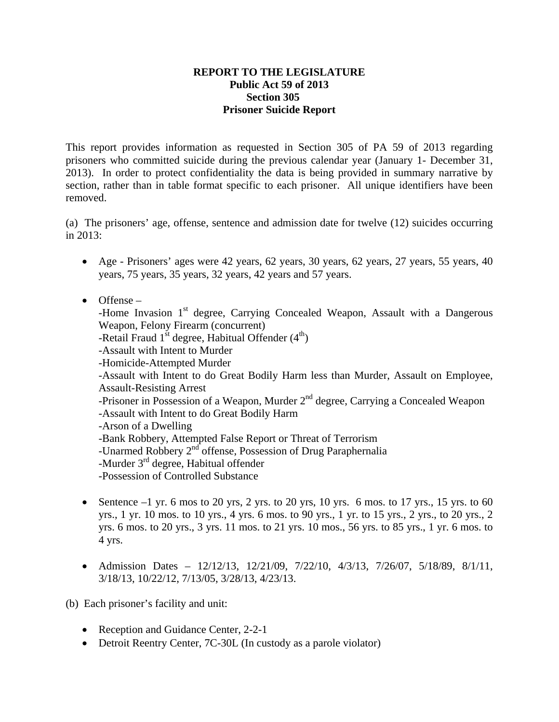## **REPORT TO THE LEGISLATURE Public Act 59 of 2013 Section 305 Prisoner Suicide Report**

This report provides information as requested in Section 305 of PA 59 of 2013 regarding prisoners who committed suicide during the previous calendar year (January 1- December 31, 2013). In order to protect confidentiality the data is being provided in summary narrative by section, rather than in table format specific to each prisoner. All unique identifiers have been removed.

(a) The prisoners' age, offense, sentence and admission date for twelve (12) suicides occurring in 2013:

- Age Prisoners' ages were 42 years, 62 years, 30 years, 62 years, 27 years, 55 years, 40 years, 75 years, 35 years, 32 years, 42 years and 57 years.
- Offense –

-Home Invasion 1<sup>st</sup> degree, Carrying Concealed Weapon, Assault with a Dangerous Weapon, Felony Firearm (concurrent)

- -Retail Fraud  $1<sup>st</sup>$  degree, Habitual Offender  $(4<sup>th</sup>)$
- -Assault with Intent to Murder
- -Homicide-Attempted Murder
- -Assault with Intent to do Great Bodily Harm less than Murder, Assault on Employee, Assault-Resisting Arrest
- $-$ Prisoner in Possession of a Weapon, Murder  $2<sup>nd</sup>$  degree, Carrying a Concealed Weapon -Assault with Intent to do Great Bodily Harm
- -Arson of a Dwelling
- -Bank Robbery, Attempted False Report or Threat of Terrorism
- -Unarmed Robbery 2<sup>nd</sup> offense, Possession of Drug Paraphernalia
- -Murder 3<sup>rd</sup> degree, Habitual offender

-Possession of Controlled Substance

- Sentence  $-1$  yr. 6 mos to 20 yrs, 2 yrs. to 20 yrs, 10 yrs. 6 mos. to 17 yrs., 15 yrs. to 60 yrs., 1 yr. 10 mos. to 10 yrs., 4 yrs. 6 mos. to 90 yrs., 1 yr. to 15 yrs., 2 yrs., to 20 yrs., 2 yrs. 6 mos. to 20 yrs., 3 yrs. 11 mos. to 21 yrs. 10 mos., 56 yrs. to 85 yrs., 1 yr. 6 mos. to 4 yrs.
- Admission Dates 12/12/13, 12/21/09, 7/22/10, 4/3/13, 7/26/07, 5/18/89, 8/1/11, 3/18/13, 10/22/12, 7/13/05, 3/28/13, 4/23/13.

(b) Each prisoner's facility and unit:

- Reception and Guidance Center, 2-2-1
- Detroit Reentry Center, 7C-30L (In custody as a parole violator)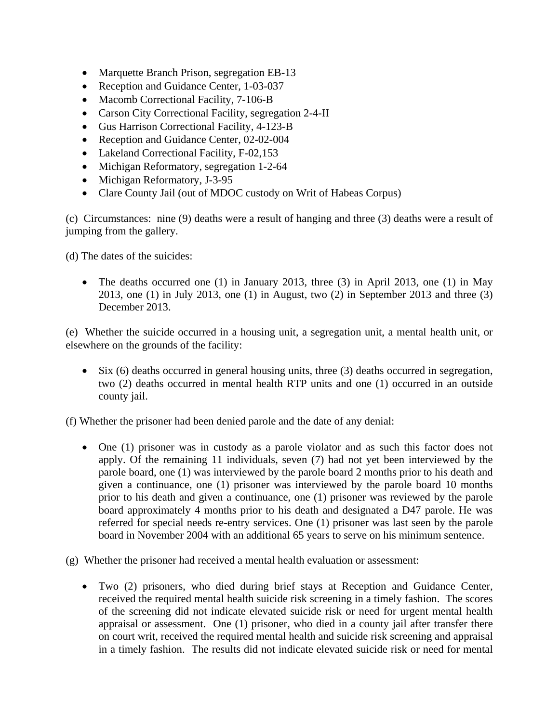- Marquette Branch Prison, segregation EB-13
- Reception and Guidance Center, 1-03-037
- Macomb Correctional Facility, 7-106-B
- Carson City Correctional Facility, segregation 2-4-II
- Gus Harrison Correctional Facility, 4-123-B
- Reception and Guidance Center, 02-02-004
- Lakeland Correctional Facility, F-02,153
- Michigan Reformatory, segregation 1-2-64
- Michigan Reformatory, J-3-95
- Clare County Jail (out of MDOC custody on Writ of Habeas Corpus)

(c) Circumstances: nine (9) deaths were a result of hanging and three (3) deaths were a result of jumping from the gallery.

(d) The dates of the suicides:

• The deaths occurred one (1) in January 2013, three (3) in April 2013, one (1) in May 2013, one (1) in July 2013, one (1) in August, two (2) in September 2013 and three (3) December 2013.

(e) Whether the suicide occurred in a housing unit, a segregation unit, a mental health unit, or elsewhere on the grounds of the facility:

 $\bullet$  Six (6) deaths occurred in general housing units, three (3) deaths occurred in segregation, two (2) deaths occurred in mental health RTP units and one (1) occurred in an outside county jail.

(f) Whether the prisoner had been denied parole and the date of any denial:

 One (1) prisoner was in custody as a parole violator and as such this factor does not apply. Of the remaining 11 individuals, seven (7) had not yet been interviewed by the parole board, one (1) was interviewed by the parole board 2 months prior to his death and given a continuance, one (1) prisoner was interviewed by the parole board 10 months prior to his death and given a continuance, one (1) prisoner was reviewed by the parole board approximately 4 months prior to his death and designated a D47 parole. He was referred for special needs re-entry services. One (1) prisoner was last seen by the parole board in November 2004 with an additional 65 years to serve on his minimum sentence.

(g) Whether the prisoner had received a mental health evaluation or assessment:

 Two (2) prisoners, who died during brief stays at Reception and Guidance Center, received the required mental health suicide risk screening in a timely fashion. The scores of the screening did not indicate elevated suicide risk or need for urgent mental health appraisal or assessment. One (1) prisoner, who died in a county jail after transfer there on court writ, received the required mental health and suicide risk screening and appraisal in a timely fashion. The results did not indicate elevated suicide risk or need for mental